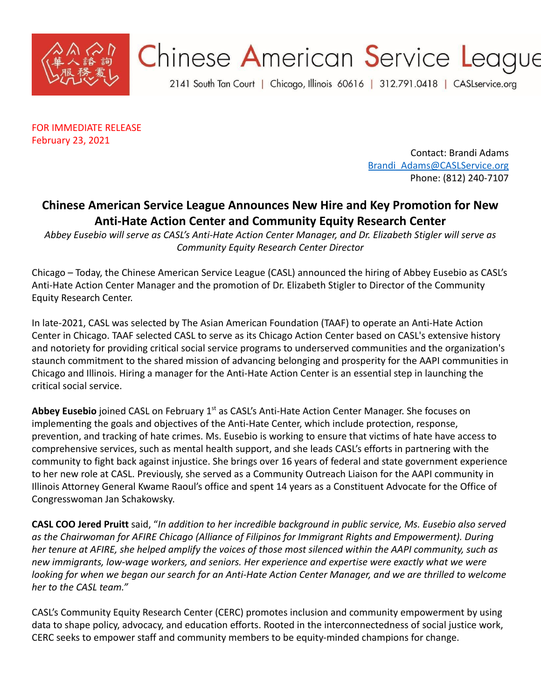

## Chinese American Service League

2141 South Tan Court | Chicago, Illinois 60616 | 312.791.0418 | CASLservice.org

FOR IMMEDIATE RELEASE February 23, 2021

> Contact: Brandi Adams [Brandi\\_Adams@CASLService.org](mailto:Brandi_Adams@CASLService.org) Phone: (812) 240-7107

## **Chinese American Service League Announces New Hire and Key Promotion for New Anti-Hate Action Center and Community Equity Research Center**

*Abbey Eusebio will serve as CASL's Anti-Hate Action Center Manager, and Dr. Elizabeth Stigler will serve as Community Equity Research Center Director*

Chicago – Today, the Chinese American Service League (CASL) announced the hiring of Abbey Eusebio as CASL's Anti-Hate Action Center Manager and the promotion of Dr. Elizabeth Stigler to Director of the Community Equity Research Center.

In late-2021, CASL was selected by The Asian American Foundation (TAAF) to operate an Anti-Hate Action Center in Chicago. TAAF selected CASL to serve as its Chicago Action Center based on CASL's extensive history and notoriety for providing critical social service programs to underserved communities and the organization's staunch commitment to the shared mission of advancing belonging and prosperity for the AAPI communities in Chicago and Illinois. Hiring a manager for the Anti-Hate Action Center is an essential step in launching the critical social service.

Abbey Eusebio joined CASL on February 1<sup>st</sup> as CASL's Anti-Hate Action Center Manager. She focuses on implementing the goals and objectives of the Anti-Hate Center, which include protection, response, prevention, and tracking of hate crimes. Ms. Eusebio is working to ensure that victims of hate have access to comprehensive services, such as mental health support, and she leads CASL's efforts in partnering with the community to fight back against injustice. She brings over 16 years of federal and state government experience to her new role at CASL. Previously, she served as a Community Outreach Liaison for the AAPI community in Illinois Attorney General Kwame Raoul's office and spent 14 years as a Constituent Advocate for the Office of Congresswoman Jan Schakowsky.

**CASL COO Jered Pruitt** said, "*In addition to her incredible background in public service, Ms. Eusebio also served as the Chairwoman for AFIRE Chicago (Alliance of Filipinos for Immigrant Rights and Empowerment). During her tenure at AFIRE, she helped amplify the voices of those most silenced within the AAPI community, such as new immigrants, low-wage workers, and seniors. Her experience and expertise were exactly what we were looking for when we began our search for an Anti-Hate Action Center Manager, and we are thrilled to welcome her to the CASL team."*

CASL's Community Equity Research Center (CERC) promotes inclusion and community empowerment by using data to shape policy, advocacy, and education efforts. Rooted in the interconnectedness of social justice work, CERC seeks to empower staff and community members to be equity-minded champions for change.